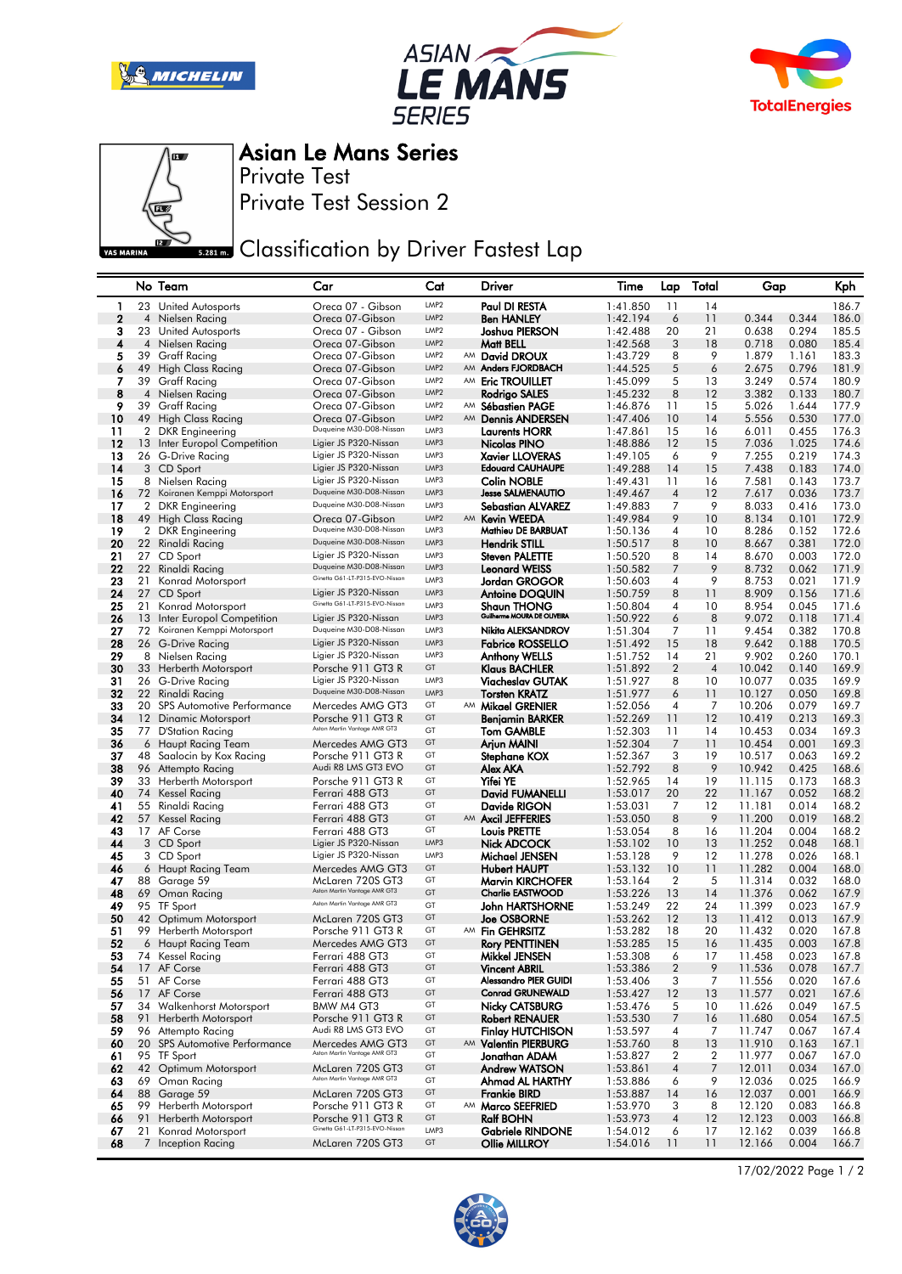







Asian Le Mans Series

Private Test Session 2 Private Test

**Bank** Classification by Driver Fastest Lap

|             |                | No Team                                             | Car                                                       | Cat                      |          | Driver                                              | Time                 | Lap                  | Total          | Gap              |                | Kph            |
|-------------|----------------|-----------------------------------------------------|-----------------------------------------------------------|--------------------------|----------|-----------------------------------------------------|----------------------|----------------------|----------------|------------------|----------------|----------------|
| 1           |                | 23 United Autosports                                | Oreca 07 - Gibson                                         | LMP2                     |          | Paul DI RESTA                                       | 1:41.850             | 11                   | 14             |                  |                | 186.7          |
| $\mathbf 2$ |                | 4 Nielsen Racing                                    | Oreca 07-Gibson                                           | LMP <sub>2</sub>         |          | <b>Ben HANLEY</b>                                   | 1:42.194             | 6                    | 11             | 0.344            | 0.344          | 186.0          |
| З           |                | 23 United Autosports                                | Oreca 07 - Gibson                                         | LMP2                     |          | Joshua PIERSON                                      | 1:42.488             | 20                   | 21             | 0.638            | 0.294          | 185.5          |
| 4           | 4              | Nielsen Racing                                      | Oreca 07-Gibson                                           | LMP <sub>2</sub>         |          | Matt BELL                                           | 1:42.568             | 3                    | 18             | 0.718            | 0.080          | 185.4          |
| 5           | 39             | Graff Racing                                        | Oreca 07-Gibson                                           | LMP2                     |          | AM David DROUX                                      | 1:43.729             | 8                    | 9              | 1.879            | 1.161          | 183.3          |
| 6           | 49             | High Class Racing                                   | Oreca 07-Gibson                                           | LMP <sub>2</sub>         | AM       | Anders FJORDBACH                                    | 1:44.525             | 5                    | 6              | 2.675            | 0.796          | 181.9          |
| 7           |                | 39 Graff Racing                                     | Oreca 07-Gibson                                           | LMP2                     |          | AM Eric TROUILLET                                   | 1:45.099             | 5                    | 13             | 3.249            | 0.574          | 180.9          |
| 8           | 4              | Nielsen Racing                                      | Oreca 07-Gibson                                           | LMP <sub>2</sub><br>LMP2 |          | Rodrigo SALES                                       | 1:45.232             | 8                    | 12             | 3.382            | 0.133          | 180.7          |
| 9<br>10     | 39             | <b>Graff Racing</b>                                 | Oreca 07-Gibson<br>Oreca 07-Gibson                        | LMP <sub>2</sub>         | AM<br>AM | Sébastien PAGE                                      | 1:46.876             | 11<br>10             | 15<br>14       | 5.026<br>5.556   | 1.644<br>0.530 | 177.9<br>177.0 |
| 11          | $\overline{2}$ | 49 High Class Racing<br><b>DKR</b> Engineering      | Duqueine M30-D08-Nissan                                   | LMP3                     |          | <b>Dennis ANDERSEN</b><br>Laurents HORR             | 1:47.406<br>1:47.861 | 15                   | 16             | 6.011            | 0.455          | 176.3          |
| 12          | 13             | Inter Europol Competition                           | Ligier JS P320-Nissan                                     | LMP3                     |          | Nicolas PINO                                        | 1:48.886             | 12                   | 15             | 7.036            | 1.025          | 174.6          |
| 13          |                | 26 G-Drive Racing                                   | Ligier JS P320-Nissan                                     | LMP3                     |          | <b>Xavier LLOVERAS</b>                              | 1:49.105             | 6                    | 9              | 7.255            | 0.219          | 174.3          |
| 14          |                | 3 CD Sport                                          | Ligier JS P320-Nissan                                     | LMP3                     |          | <b>Edouard CAUHAUPE</b>                             | 1:49.288             | 14                   | 15             | 7.438            | 0.183          | 174.0          |
| 15          |                | 8 Nielsen Racing                                    | Ligier JS P320-Nissan                                     | LMP3                     |          | Colin NOBLE                                         | 1:49.431             | 11                   | 16             | 7.581            | 0.143          | 173.7          |
| 16          | 72             | Koiranen Kemppi Motorsport                          | Duqueine M30-D08-Nissan                                   | LMP3                     |          | <b>Jesse SALMENAUTIO</b>                            | 1:49.467             | $\overline{4}$       | 12             | 7.617            | 0.036          | 173.7          |
| 17          | $\overline{2}$ | <b>DKR</b> Engineering                              | Duqueine M30-D08-Nissan                                   | LMP3                     |          | Sebastian ALVAREZ                                   | 1:49.883             | $\overline{7}$       | 9              | 8.033            | 0.416          | 173.0          |
| 18          |                | 49 High Class Racing                                | Oreca 07-Gibson                                           | LMP <sub>2</sub>         |          | AM Kevin WEEDA                                      | 1:49.984             | 9                    | 10             | 8.134            | 0.101          | 172.9          |
| 19          |                | 2 DKR Engineering                                   | Duqueine M30-D08-Nissan                                   | LMP3                     |          | Mathieu DE BARBUAT                                  | 1:50.136             | 4                    | 10             | 8.286            | 0.152          | 172.6          |
| 20          | 22             | Rinaldi Racing                                      | Duqueine M30-D08-Nissan                                   | LMP3                     |          | <b>Hendrik STILL</b>                                | 1:50.517             | 8                    | 10             | 8.667            | 0.381          | 172.0          |
| 21          |                | 27 CD Sport                                         | Ligier JS P320-Nissan                                     | LMP3                     |          | Steven PALETTE                                      | 1:50.520             | 8                    | 14             | 8.670            | 0.003          | 172.0          |
| 22          | 22             | Rinaldi Racing                                      | Duqueine M30-D08-Nissan<br>Ginetta G61-LT-P315-EVO-Nissan | LMP3                     |          | <b>Leonard WEISS</b>                                | 1:50.582             | 7                    | 9              | 8.732            | 0.062          | 171.9          |
| 23          | 21             | Konrad Motorsport                                   | Ligier JS P320-Nissan                                     | LMP3<br>LMP3             |          | Jordan GROGOR                                       | 1:50.603             | 4                    | 9              | 8.753            | 0.021          | 171.9          |
| 24<br>25    | 27<br>21       | CD Sport<br>Konrad Motorsport                       | Ginetta G61-LT-P315-EVO-Nissan                            | LMP3                     |          | <b>Antoine DOQUIN</b><br><b>Shaun THONG</b>         | 1:50.759<br>1:50.804 | 8<br>4               | 11<br>10       | 8.909<br>8.954   | 0.156<br>0.045 | 171.6<br>171.6 |
| 26          |                | 13 Inter Europol Competition                        | Ligier JS P320-Nissan                                     | LMP3                     |          | Guilherme MOURA DE OLIVEIRA                         | 1:50.922             | 6                    | 8              | 9.072            | 0.118          | 171.4          |
| 27          | 72             | Koiranen Kemppi Motorsport                          | Duqueine M30-D08-Nissan                                   | LMP3                     |          | Nikita ALEKSANDROV                                  | 1:51.304             | 7                    | 11             | 9.454            | 0.382          | 170.8          |
| 28          |                | 26 G-Drive Racing                                   | Ligier JS P320-Nissan                                     | LMP3                     |          | <b>Fabrice ROSSELLO</b>                             | 1:51.492             | 15                   | 18             | 9.642            | 0.188          | 170.5          |
| 29          |                | 8 Nielsen Racing                                    | Ligier JS P320-Nissan                                     | LMP3                     |          | <b>Anthony WELLS</b>                                | 1:51.752             | 14                   | 21             | 9.902            | 0.260          | 170.1          |
| 30          |                | 33 Herberth Motorsport                              | Porsche 911 GT3 R                                         | GT                       |          | Klaus BACHLER                                       | 1:51.892             | $\boldsymbol{2}$     | $\overline{4}$ | 10.042           | 0.140          | 169.9          |
| 31          |                | 26 G-Drive Racing                                   | Ligier JS P320-Nissan                                     | LMP3                     |          | <b>Viacheslav GUTAK</b>                             | 1:51.927             | 8                    | 10             | 10.077           | 0.035          | 169.9          |
| 32          | 22             | Rinaldi Racing                                      | Duqueine M30-D08-Nissan                                   | LMP3                     |          | <b>Torsten KRATZ</b>                                | 1:51.977             | 6                    | 11             | 10.127           | 0.050          | 169.8          |
| 33          | 20             | <b>SPS Automotive Performance</b>                   | Mercedes AMG GT3                                          | GT                       | AM       | <b>Mikael GRENIER</b>                               | 1:52.056             | 4                    | 7              | 10.206           | 0.079          | 169.7          |
| 34          |                | 12 Dinamic Motorsport                               | Porsche 911 GT3 R<br>Aston Martin Vantage AMR GT3         | GT                       |          | Benjamin BARKER                                     | 1:52.269             | 11                   | 12             | 10.419           | 0.213          | 169.3          |
| 35          |                | 77 D'Station Racing                                 |                                                           | GT<br>GT                 |          | Tom GAMBLE                                          | 1:52.303             | 11                   | 14             | 10.453           | 0.034          | 169.3          |
| 36<br>37    | 48             | 6 Haupt Racing Team<br>Saalocin by Kox Racing       | Mercedes AMG GT3<br>Porsche 911 GT3 R                     | GT                       |          | Arjun MAINI<br>Stephane KOX                         | 1:52.304<br>1:52.367 | 7<br>3               | 11<br>19       | 10.454<br>10.517 | 0.001<br>0.063 | 169.3<br>169.2 |
| 38          |                | 96 Attempto Racing                                  | Audi R8 LMS GT3 EVO                                       | GT                       |          | Alex AKA                                            | 1:52.792             | 8                    | 9              | 10.942           | 0.425          | 168.6          |
| 39          |                | 33 Herberth Motorsport                              | Porsche 911 GT3 R                                         | GT                       |          | <b>Yifei YE</b>                                     | 1:52.965             | 14                   | 19             | 11.115           | 0.173          | 168.3          |
| 40          | 74             | Kessel Racing                                       | Ferrari 488 GT3                                           | GT                       |          | David FUMANELLI                                     | 1:53.017             | 20                   | 22             | 11.167           | 0.052          | 168.2          |
| 41          | 55             | Rinaldi Racing                                      | Ferrari 488 GT3                                           | GT                       |          | Davide RIGON                                        | 1:53.031             | 7                    | 12             | 11.181           | 0.014          | 168.2          |
| 42          |                | 57 Kessel Racing                                    | Ferrari 488 GT3                                           | GT                       |          | AM Axcil JEFFERIES                                  | 1:53.050             | 8                    | 9              | 11.200           | 0.019          | 168.2          |
| 43          |                | 17 AF Corse                                         | Ferrari 488 GT3                                           | GT                       |          | Louis PRETTE                                        | 1:53.054             | 8                    | 16             | 11.204           | 0.004          | 168.2          |
| 44          |                | 3 CD Sport                                          | Ligier JS P320-Nissan                                     | LMP3                     |          | Nick ADCOCK                                         | 1:53.102             | 10                   | 13             | 11.252           | 0.048          | 168.1          |
| 45          |                | 3 CD Sport                                          | Ligier JS P320-Nissan                                     | LMP3                     |          | Michael JENSEN                                      | 1:53.128             | 9                    | 12             | 11.278           | 0.026          | 168.1          |
| 46          |                | 6 Haupt Racing Team                                 | Mercedes AMG GT3                                          | GT<br>GT                 |          | <b>Hubert HAUPT</b>                                 | 1:53.132             | 10                   | 11             | 11.282           | 0.004          | 168.0          |
| 47<br>48    |                | 88 Garage 59<br>69 Oman Racing                      | McLaren 720S GT3<br>Aston Martin Vantage AMR GT3          | GT                       |          | <b>Marvin KIRCHOFER</b><br><b>Charlie EASTWOOD</b>  | 1:53.164<br>1:53.226 | $\overline{2}$<br>13 | 5<br>14        | 11.314<br>11.376 | 0.032<br>0.062 | 168.0<br>167.9 |
| 49          |                | 95 TF Sport                                         | Aston Martin Vantage AMR GT3                              | GT                       |          | John HARTSHORNE                                     | 1:53.249             | 22                   | 24             | 11.399           | 0.023          | 167.9          |
| 50          |                | 42 Optimum Motorsport                               | McLaren 720S GT3                                          | GT                       |          | <b>Joe OSBORNE</b>                                  | 1:53.262             | 12                   | 13             | 11.412           | 0.013          | 167.9          |
| 51          | 99             | Herberth Motorsport                                 | Porsche 911 GT3 R                                         | GT                       | AM       | <b>Fin GEHRSITZ</b>                                 | 1:53.282             | 18                   | 20             | 11.432           | 0.020          | 167.8          |
| 52          |                | 6 Haupt Racing Team                                 | Mercedes AMG GT3                                          | GT                       |          | Rory PENTTINEN                                      | 1:53.285             | 15                   | 16             | 11.435           | 0.003          | 167.8          |
| 53          |                | 74 Kessel Racing                                    | Ferrari 488 GT3                                           | GT                       |          | Mikkel JENSEN                                       | 1:53.308             | 6                    | 17             | 11.458           | 0.023          | 167.8          |
| 54          |                | 17 AF Corse                                         | Ferrari 488 GT3                                           | GT                       |          | <b>Vincent ABRIL</b>                                | 1:53.386             | $\boldsymbol{2}$     | 9              | 11.536           | 0.078          | 167.7          |
| 55          |                | 51 AF Corse                                         | Ferrari 488 GT3                                           | GT                       |          | <b>Alessandro PIER GUIDI</b>                        | 1:53.406             | 3                    | 7              | 11.556           | 0.020          | 167.6          |
| 56          |                | 17 AF Corse                                         | Ferrari 488 GT3                                           | GT                       |          | <b>Conrad GRUNEWALD</b>                             | 1:53.427             | 12                   | 13             | 11.577           | 0.021          | 167.6          |
| 57          |                | 34 Walkenhorst Motorsport                           | BMW M4 GT3                                                | GT                       |          | <b>Nicky CATSBURG</b>                               | 1:53.476             | 5                    | 10             | 11.626           | 0.049          | 167.5          |
| 58          | 91             | Herberth Motorsport                                 | Porsche 911 GT3 R<br>Audi R8 LMS GT3 EVO                  | GT<br>GT                 |          | <b>Robert RENAUER</b>                               | 1:53.530             | 7                    | 16             | 11.680           | 0.054          | 167.5          |
| 59<br>60    |                | 96 Attempto Racing<br>20 SPS Automotive Performance | Mercedes AMG GT3                                          | GT                       | AM       | <b>Finlay HUTCHISON</b><br><b>Valentin PIERBURG</b> | 1:53.597<br>1:53.760 | 4<br>8               | 7<br>13        | 11.747<br>11.910 | 0.067<br>0.163 | 167.4<br>167.1 |
| 61          |                | 95 TF Sport                                         | Aston Martin Vantage AMR GT3                              | GT                       |          | Jonathan ADAM                                       | 1:53.827             | 2                    | $\overline{2}$ | 11.977           | 0.067          | 167.0          |
| 62          |                | 42 Optimum Motorsport                               | McLaren 720S GT3                                          | GT                       |          | <b>Andrew WATSON</b>                                | 1:53.861             | $\overline{4}$       | 7              | 12.011           | 0.034          | 167.0          |
| 63          |                | 69 Oman Racing                                      | Aston Martin Vantage AMR GT3                              | GT                       |          | Ahmad AL HARTHY                                     | 1:53.886             | 6                    | 9              | 12.036           | 0.025          | 166.9          |
| 64          |                | 88 Garage 59                                        | McLaren 720S GT3                                          | GT                       |          | <b>Frankie BIRD</b>                                 | 1:53.887             | 14                   | 16             | 12.037           | 0.001          | 166.9          |
| 65          | 99             | Herberth Motorsport                                 | Porsche 911 GT3 R                                         | GT                       | AM       | <b>Marco SEEFRIED</b>                               | 1:53.970             | 3                    | 8              | 12.120           | 0.083          | 166.8          |
| 66          | 91             | Herberth Motorsport                                 | Porsche 911 GT3 R                                         | GT                       |          | <b>Ralf BOHN</b>                                    | 1:53.973             | $\overline{4}$       | 12             | 12.123           | 0.003          | 166.8          |
| 67          | 21             | Konrad Motorsport                                   | Ginetta G61-LT-P315-EVO-Nissan                            | LMP3                     |          | Gabriele RINDONE                                    | 1:54.012             | 6                    | 17             | 12.162           | 0.039          | 166.8          |
| 68          |                | 7 Inception Racing                                  | McLaren 720S GT3                                          | GT                       |          | <b>Ollie MILLROY</b>                                | 1:54.016             | 11                   | 11             | 12.166           | 0.004          | 166.7          |

17/02/2022 Page 1 / 2